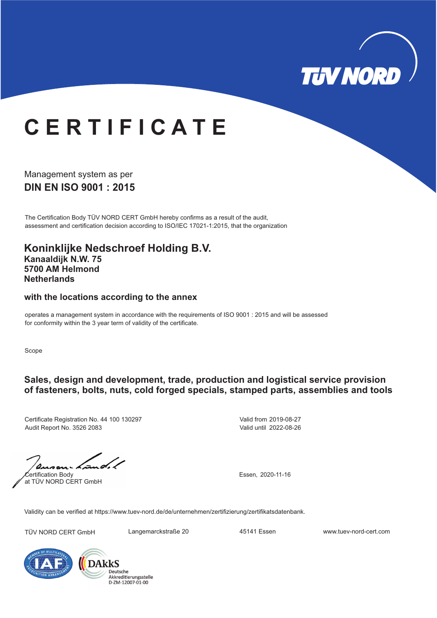

# **C E R T I F I C A T E**

**DIN EN ISO 9001 : 2015** Management system as per

The Certification Body TÜV NORD CERT GmbH hereby confirms as a result of the audit, assessment and certification decision according to ISO/IEC 17021-1:2015, that the organization

**Koninklijke Nedschroef Holding B.V. Kanaaldijk N.W. 75 5700 AM Helmond Netherlands**

#### **with the locations according to the annex**

operates a management system in accordance with the requirements of ISO 9001 : 2015 and will be assessed for conformity within the 3 year term of validity of the certificate.

Scope

#### **Sales, design and development, trade, production and logistical service provision of fasteners, bolts, nuts, cold forged specials, stamped parts, assemblies and tools**

Certificate Registration No. 44 100 130297 Audit Report No. 3526 2083

Valid from 2019-08-27 Valid until 2022-08-26

Certification Body at TÜV NORD CERT GmbH

Essen, 2020-11-16

Validity can be verified at https://www.tuev-nord.de/de/unternehmen/zertifizierung/zertifikatsdatenbank.

TÜV NORD CERT GmbH Langemarckstraße 20 45141 Essen www.tuev-nord-cert.com



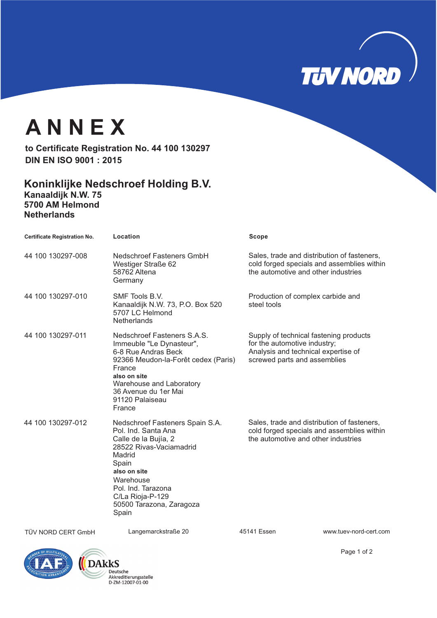

## **A N N E X**

**to Certificate Registration No. 44 100 130297 DIN EN ISO 9001 : 2015**

#### **Koninklijke Nedschroef Holding B.V.**

**Kanaaldijk N.W. 75 5700 AM Helmond Netherlands**

| <b>Certificate Registration No.</b> | Location                                                                                                                                                                                                                                 | Scope                                                                                                                                         |
|-------------------------------------|------------------------------------------------------------------------------------------------------------------------------------------------------------------------------------------------------------------------------------------|-----------------------------------------------------------------------------------------------------------------------------------------------|
| 44 100 130297-008                   | Nedschroef Fasteners GmbH<br>Westiger Straße 62<br>58762 Altena<br>Germany                                                                                                                                                               | Sales, trade and distribution of fasteners,<br>cold forged specials and assemblies within<br>the automotive and other industries              |
| 44 100 130297-010                   | SMF Tools B.V.<br>Kanaaldijk N.W. 73, P.O. Box 520<br>5707 LC Helmond<br><b>Netherlands</b>                                                                                                                                              | Production of complex carbide and<br>steel tools                                                                                              |
| 44 100 130297-011                   | Nedschroef Fasteners S.A.S.<br>Immeuble "Le Dynasteur",<br>6-8 Rue Andras Beck<br>92366 Meudon-la-Forêt cedex (Paris)<br>France<br>also on site<br>Warehouse and Laboratory<br>36 Avenue du 1er Mai<br>91120 Palaiseau<br>France         | Supply of technical fastening products<br>for the automotive industry;<br>Analysis and technical expertise of<br>screwed parts and assemblies |
| 44 100 130297-012                   | Nedschroef Fasteners Spain S.A.<br>Pol. Ind. Santa Ana<br>Calle de la Bujía, 2<br>28522 Rivas-Vaciamadrid<br>Madrid<br>Spain<br>also on site<br>Warehouse<br>Pol. Ind. Tarazona<br>C/La Rioja-P-129<br>50500 Tarazona, Zaragoza<br>Spain | Sales, trade and distribution of fasteners,<br>cold forged specials and assemblies within<br>the automotive and other industries              |

TÜV NORD CERT GmbH Langemarckstraße 20 45141 Essen www.tuev-nord-cert.com





Page 1 of 2